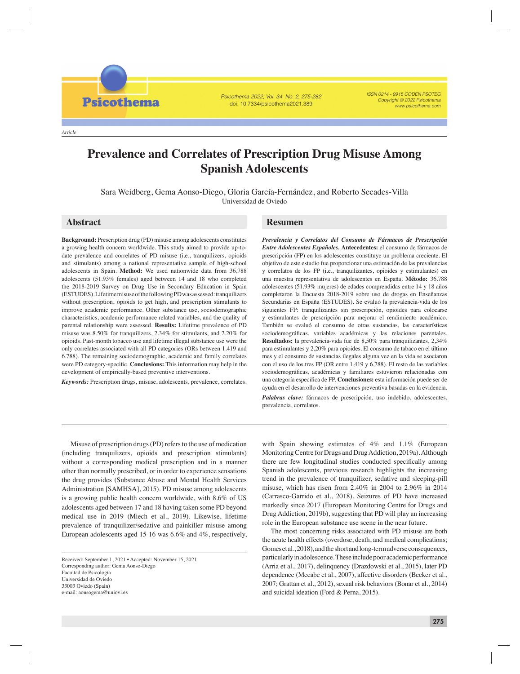*Article*

**Psicothema** 

Psicothema 2022, Vol. 34, No. 2, 275-282 doi: 10.7334/psicothema2021.389

ISSN 0214 - 9915 CODEN PSOTEG Copyright © 2022 Psicothema www.psicothema.com

# **Prevalence and Correlates of Prescription Drug Misuse Among Spanish Adolescents**

Sara Weidberg, Gema Aonso-Diego, Gloria García-Fernández, and Roberto Secades-Villa Universidad de Oviedo

**Background:** Prescription drug (PD) misuse among adolescents constitutes a growing health concern worldwide. This study aimed to provide up-todate prevalence and correlates of PD misuse (i.e., tranquilizers, opioids and stimulants) among a national representative sample of high-school adolescents in Spain. **Method:** We used nationwide data from 36,788 adolescents (51.93% females) aged between 14 and 18 who completed the 2018-2019 Survey on Drug Use in Secondary Education in Spain (ESTUDES). Lifetime misuse of the following PD was assessed: tranquilizers without prescription, opioids to get high, and prescription stimulants to improve academic performance. Other substance use, sociodemographic characteristics, academic performance related variables, and the quality of parental relationship were assessed. **Results:** Lifetime prevalence of PD misuse was 8.50% for tranquilizers, 2.34% for stimulants, and 2.20% for opioids. Past-month tobacco use and lifetime illegal substance use were the only correlates associated with all PD categories (ORs between 1.419 and 6.788). The remaining sociodemographic, academic and family correlates were PD category-specific. **Conclusions:** This information may help in the development of empirically-based preventive interventions.

*Keywords:* Prescription drugs, misuse, adolescents, prevalence, correlates.

## **Abstract Resumen**

*Prevalencia y Correlatos del Consumo de Fármacos de Prescripción Entre Adolescentes Españoles.* **Antecedentes:** el consumo de fármacos de prescripción (FP) en los adolescentes constituye un problema creciente. El objetivo de este estudio fue proporcionar una estimación de las prevalencias y correlatos de los FP (i.e., tranquilizantes, opioides y estimulantes) en una muestra representativa de adolescentes en España. **Método:** 36.788 adolescentes (51,93% mujeres) de edades comprendidas entre 14 y 18 años completaron la Encuesta 2018-2019 sobre uso de drogas en Enseñanzas Secundarias en España (ESTUDES). Se evaluó la prevalencia-vida de los siguientes FP: tranquilizantes sin prescripción, opioides para colocarse y estimulantes de prescripción para mejorar el rendimiento académico. También se evaluó el consumo de otras sustancias, las características sociodemográficas, variables académicas y las relaciones parentales. **Resultados:** la prevalencia-vida fue de 8,50% para tranquilizantes, 2,34% para estimulantes y 2,20% para opioides. El consumo de tabaco en el último mes y el consumo de sustancias ilegales alguna vez en la vida se asociaron con el uso de los tres FP (OR entre 1,419 y 6,788). El resto de las variables sociodemográficas, académicas y familiares estuvieron relacionadas con una categoría específica de FP. Conclusiones: esta información puede ser de ayuda en el desarrollo de intervenciones preventiva basadas en la evidencia.

*Palabras clave:* fármacos de prescripción, uso indebido, adolescentes, prevalencia, correlatos.

Misuse of prescription drugs (PD) refers to the use of medication (including tranquilizers, opioids and prescription stimulants) without a corresponding medical prescription and in a manner other than normally prescribed, or in order to experience sensations the drug provides (Substance Abuse and Mental Health Services Administration [SAMHSA], 2015). PD misuse among adolescents is a growing public health concern worldwide, with 8.6% of US adolescents aged between 17 and 18 having taken some PD beyond medical use in 2019 (Miech et al., 2019). Likewise, lifetime prevalence of tranquilizer/sedative and painkiller misuse among European adolescents aged 15-16 was 6.6% and 4%, respectively,

with Spain showing estimates of 4% and 1.1% (European Monitoring Centre for Drugs and Drug Addiction, 2019a). Although there are few longitudinal studies conducted specifically among Spanish adolescents, previous research highlights the increasing trend in the prevalence of tranquilizer, sedative and sleeping-pill misuse, which has risen from 2.40% in 2004 to 2.96% in 2014 (Carrasco-Garrido et al., 2018). Seizures of PD have increased markedly since 2017 (European Monitoring Centre for Drugs and Drug Addiction, 2019b), suggesting that PD will play an increasing role in the European substance use scene in the near future.

The most concerning risks associated with PD misuse are both the acute health effects (overdose, death, and medical complications; Gomes et al., 2018), and the short and long-term adverse consequences, particularly in adolescence. These include poor academic performance (Arria et al., 2017), delinquency (Drazdowski et al., 2015), later PD dependence (Mccabe et al., 2007), affective disorders (Becker et al., 2007; Grattan et al., 2012), sexual risk behaviors (Bonar et al., 2014) and suicidal ideation (Ford & Perna, 2015).

Received: September 1, 2021 • Accepted: November 15, 2021 Corresponding author: Gema Aonso-Diego Facultad de Psicología Universidad de Oviedo 33003 Oviedo (Spain) e-mail: aonsogema@uniovi.es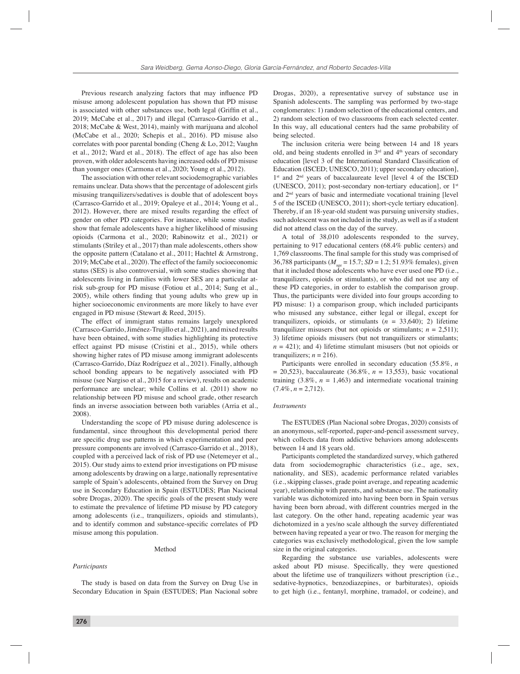Previous research analyzing factors that may influence PD misuse among adolescent population has shown that PD misuse is associated with other substances use, both legal (Griffin et al., 2019; McCabe et al., 2017) and illegal (Carrasco-Garrido et al., 2018; McCabe & West, 2014), mainly with marijuana and alcohol (McCabe et al., 2020; Schepis et al., 2016). PD misuse also correlates with poor parental bonding (Cheng & Lo, 2012; Vaughn et al., 2012; Ward et al., 2018). The effect of age has also been proven, with older adolescents having increased odds of PD misuse than younger ones (Carmona et al., 2020; Young et al., 2012).

The association with other relevant sociodemographic variables remains unclear. Data shows that the percentage of adolescent girls misusing tranquilizers/sedatives is double that of adolescent boys (Carrasco-Garrido et al., 2019; Opaleye et al., 2014; Young et al., 2012). However, there are mixed results regarding the effect of gender on other PD categories. For instance, while some studies show that female adolescents have a higher likelihood of misusing opioids (Carmona et al., 2020; Rabinowitz et al., 2021) or stimulants (Striley et al., 2017) than male adolescents, others show the opposite pattern (Catalano et al., 2011; Hachtel & Armstrong, 2019; McCabe et al., 2020). The effect of the family socioeconomic status (SES) is also controversial, with some studies showing that adolescents living in families with lower SES are a particular atrisk sub-group for PD misuse (Fotiou et al., 2014; Sung et al., 2005), while others finding that young adults who grew up in higher socioeconomic environments are more likely to have ever engaged in PD misuse (Stewart & Reed, 2015).

The effect of immigrant status remains largely unexplored (Carrasco-Garrido, Jiménez-Trujillo et al., 2021), and mixed results have been obtained, with some studies highlighting its protective effect against PD misuse (Cristini et al., 2015), while others showing higher rates of PD misuse among immigrant adolescents (Carrasco-Garrido, Díaz Rodríguez et al., 2021). Finally, although school bonding appears to be negatively associated with PD misuse (see Nargiso et al., 2015 for a review), results on academic performance are unclear; while Collins et al. (2011) show no relationship between PD misuse and school grade, other research finds an inverse association between both variables (Arria et al., 2008).

Understanding the scope of PD misuse during adolescence is fundamental, since throughout this developmental period there are specific drug use patterns in which experimentation and peer pressure components are involved (Carrasco-Garrido et al., 2018), coupled with a perceived lack of risk of PD use (Netemeyer et al., 2015). Our study aims to extend prior investigations on PD misuse among adolescents by drawing on a large, nationally representative sample of Spain's adolescents, obtained from the Survey on Drug use in Secondary Education in Spain (ESTUDES; Plan Nacional sobre Drogas, 2020). The specific goals of the present study were to estimate the prevalence of lifetime PD misuse by PD category among adolescents (i.e., tranquilizers, opioids and stimulants), and to identify common and substance-specific correlates of PD misuse among this population.

#### Method

#### *Participants*

The study is based on data from the Survey on Drug Use in Secondary Education in Spain (ESTUDES; Plan Nacional sobre Drogas, 2020), a representative survey of substance use in Spanish adolescents. The sampling was performed by two-stage conglomerates: 1) random selection of the educational centers, and 2) random selection of two classrooms from each selected center. In this way, all educational centers had the same probability of being selected.

The inclusion criteria were being between 14 and 18 years old, and being students enrolled in  $3<sup>rd</sup>$  and  $4<sup>th</sup>$  years of secondary education [level 3 of the International Standard Classification of Education (ISCED; UNESCO, 2011); upper secondary education], 1<sup>st</sup> and 2<sup>nd</sup> years of baccalaureate level [level 4 of the ISCED (UNESCO, 2011); post-secondary non-tertiary education], or  $1<sup>st</sup>$ and 2nd years of basic and intermediate vocational training [level 5 of the ISCED (UNESCO, 2011); short-cycle tertiary education]. Thereby, if an 18-year-old student was pursuing university studies, such adolescent was not included in the study, as well as if a student did not attend class on the day of the survey.

A total of 38,010 adolescents responded to the survey, pertaining to 917 educational centers (68.4% public centers) and 1,769 classrooms. The final sample for this study was comprised of 36,788 participants ( $M_{\text{gas}} = 15.7$ ; *SD* = 1.2; 51.93% females), given that it included those adolescents who have ever used one PD (i.e., tranquilizers, opioids or stimulants), or who did not use any of these PD categories, in order to establish the comparison group. Thus, the participants were divided into four groups according to PD misuse: 1) a comparison group, which included participants who misused any substance, either legal or illegal, except for tranquilizers, opioids, or stimulants  $(n = 33,640)$ ; 2) lifetime tranquilizer misusers (but not opioids or stimulants;  $n = 2,511$ ); 3) lifetime opioids misusers (but not tranquilizers or stimulants;  $n = 421$ ; and 4) lifetime stimulant misusers (but not opioids or tranquilizers;  $n = 216$ ).

Participants were enrolled in secondary education (55.8%, *n*  $= 20,523$ , baccalaureate (36.8%,  $n = 13,553$ ), basic vocational training  $(3.8\%, n = 1,463)$  and intermediate vocational training (7.4%, *n* = 2,712).

#### *Instruments*

The ESTUDES (Plan Nacional sobre Drogas, 2020) consists of an anonymous, self-reported, paper-and-pencil assessment survey, which collects data from addictive behaviors among adolescents between 14 and 18 years old.

Participants completed the standardized survey, which gathered data from sociodemographic characteristics (i.e., age, sex, nationality, and SES), academic performance related variables (i.e., skipping classes, grade point average, and repeating academic year), relationship with parents, and substance use. The nationality variable was dichotomized into having been born in Spain versus having been born abroad, with different countries merged in the last category. On the other hand, repeating academic year was dichotomized in a yes/no scale although the survey differentiated between having repeated a year or two. The reason for merging the categories was exclusively methodological, given the low sample size in the original categories.

Regarding the substance use variables, adolescents were asked about PD misuse. Specifically, they were questioned about the lifetime use of tranquilizers without prescription (i.e., sedative-hypnotics, benzodiazepines, or barbiturates), opioids to get high (i.e., fentanyl, morphine, tramadol, or codeine), and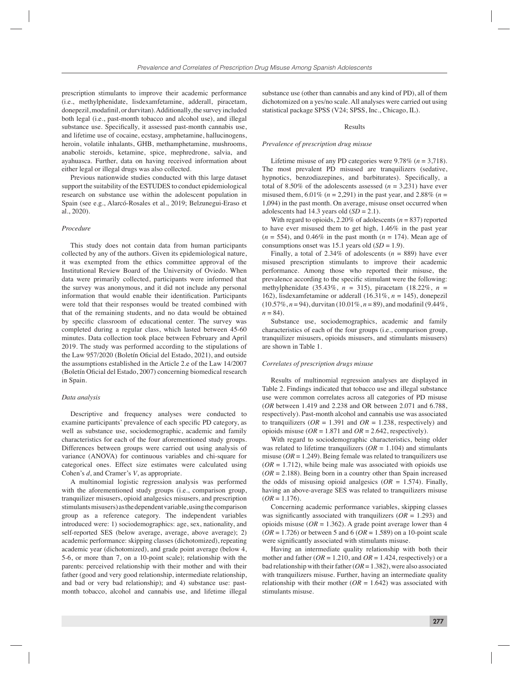prescription stimulants to improve their academic performance (i.e., methylphenidate, lisdexamfetamine, adderall, piracetam, donepezil, modafinil, or durvitan). Additionally, the survey included both legal (i.e., past-month tobacco and alcohol use), and illegal substance use. Specifically, it assessed past-month cannabis use, and lifetime use of cocaine, ecstasy, amphetamine, hallucinogens, heroin, volatile inhalants, GHB, methamphetamine, mushrooms, anabolic steroids, ketamine, spice, mephredrone, salvia, and ayahuasca. Further, data on having received information about either legal or illegal drugs was also collected.

Previous nationwide studies conducted with this large dataset support the suitability of the ESTUDES to conduct epidemiological research on substance use within the adolescent population in Spain (see e.g., Alarcó-Rosales et al., 2019; Belzunegui-Eraso et al., 2020).

### *Procedure*

This study does not contain data from human participants collected by any of the authors. Given its epidemiological nature, it was exempted from the ethics committee approval of the Institutional Review Board of the University of Oviedo. When data were primarily collected, participants were informed that the survey was anonymous, and it did not include any personal information that would enable their identification. Participants were told that their responses would be treated combined with that of the remaining students, and no data would be obtained by specific classroom of educational center. The survey was completed during a regular class, which lasted between 45-60 minutes. Data collection took place between February and April 2019. The study was performed according to the stipulations of the Law 957/2020 (Boletín Oficial del Estado, 2021), and outside the assumptions established in the Article 2.e of the Law 14/2007 (Boletín Oficial del Estado, 2007) concerning biomedical research in Spain.

#### *Data analysis*

Descriptive and frequency analyses were conducted to examine participants' prevalence of each specific PD category, as well as substance use, sociodemographic, academic and family characteristics for each of the four aforementioned study groups. Differences between groups were carried out using analysis of variance (ANOVA) for continuous variables and chi-square for categorical ones. Effect size estimates were calculated using Cohen's *d*, and Cramer's *V*, as appropriate.

A multinomial logistic regression analysis was performed with the aforementioned study groups (i.e., comparison group, tranquilizer misusers, opioid analgesics misusers, and prescription stimulants misusers) as the dependent variable, using the comparison group as a reference category. The independent variables introduced were: 1) sociodemographics: age, sex, nationality, and self-reported SES (below average, average, above average); 2) academic performance: skipping classes (dichotomized), repeating academic year (dichotomized), and grade point average (below 4, 5-6, or more than 7, on a 10-point scale); relationship with the parents: perceived relationship with their mother and with their father (good and very good relationship, intermediate relationship, and bad or very bad relationship); and 4) substance use: pastmonth tobacco, alcohol and cannabis use, and lifetime illegal

substance use (other than cannabis and any kind of PD), all of them dichotomized on a yes/no scale. All analyses were carried out using statistical package SPSS (V24; SPSS, Inc., Chicago, IL).

#### Results

#### *Prevalence of prescription drug misuse*

Lifetime misuse of any PD categories were 9.78% (*n* = 3,718). The most prevalent PD misused are tranquilizers (sedative, hypnotics, benzodiazepines, and barbiturates). Specifically, a total of 8.50% of the adolescents assessed  $(n = 3,231)$  have ever misused them, 6.01% (*n* = 2,291) in the past year, and 2.88% (*n* = 1,094) in the past month. On average, misuse onset occurred when adolescents had 14.3 years old  $(SD = 2.1)$ .

With regard to opioids, 2.20% of adolescents (*n* = 837) reported to have ever misused them to get high, 1.46% in the past year  $(n = 554)$ , and 0.46% in the past month  $(n = 174)$ . Mean age of consumptions onset was 15.1 years old (*SD* = 1.9).

Finally, a total of 2.34% of adolescents  $(n = 889)$  have ever misused prescription stimulants to improve their academic performance. Among those who reported their misuse, the prevalence according to the specific stimulant were the following: methylphenidate (35.43%, *n* = 315), piracetam (18.22%, *n* = 162), lisdexamfetamine or adderall (16.31%, *n* = 145), donepezil  $(10.57\%, n=94)$ , durvitan  $(10.01\%, n=89)$ , and modafinil  $(9.44\%,$  $n = 84$ .

Substance use, sociodemographics, academic and family characteristics of each of the four groups (i.e., comparison group, tranquilizer misusers, opioids misusers, and stimulants misusers) are shown in Table 1.

#### *Correlates of prescription drugs misuse*

Results of multinomial regression analyses are displayed in Table 2. Findings indicated that tobacco use and illegal substance use were common correlates across all categories of PD misuse (*OR* between 1.419 and 2.238 and OR between 2.071 and 6.788, respectively). Past-month alcohol and cannabis use was associated to tranquilizers ( $OR = 1.391$  and  $OR = 1.238$ , respectively) and opioids misuse ( $OR = 1.871$  and  $OR = 2.642$ , respectively).

With regard to sociodemographic characteristics, being older was related to lifetime tranquilizers  $(OR = 1.104)$  and stimulants misuse ( $OR = 1.249$ ). Being female was related to tranquilizers use  $(OR = 1.712)$ , while being male was associated with opioids use  $(OR = 2.188)$ . Being born in a country other than Spain increased the odds of misusing opioid analgesics  $(OR = 1.574)$ . Finally, having an above-average SES was related to tranquilizers misuse  $(OR = 1.176)$ .

Concerning academic performance variables, skipping classes was significantly associated with tranquilizers  $(OR = 1.293)$  and opioids misuse ( $OR = 1.362$ ). A grade point average lower than 4 (*OR* = 1.726) or between 5 and 6 (*OR* = 1.589) on a 10-point scale were significantly associated with stimulants misuse.

Having an intermediate quality relationship with both their mother and father ( $OR = 1.210$ , and  $OR = 1.424$ , respectively) or a bad relationship with their father (*OR* = 1.382), were also associated with tranquilizers misuse. Further, having an intermediate quality relationship with their mother ( $OR = 1.642$ ) was associated with stimulants misuse.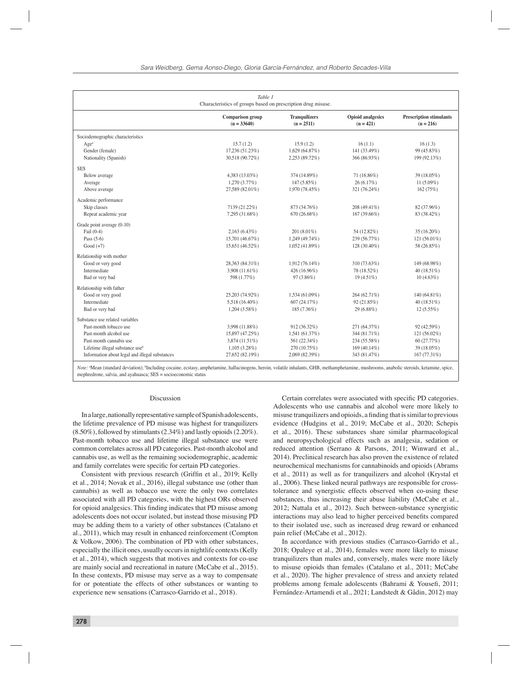| Table 1<br>Characteristics of groups based on prescription drug misuse. |                                          |                                      |                                         |                                               |  |  |  |  |  |
|-------------------------------------------------------------------------|------------------------------------------|--------------------------------------|-----------------------------------------|-----------------------------------------------|--|--|--|--|--|
|                                                                         | <b>Comparison</b> group<br>$(n = 33640)$ | <b>Tranquilizers</b><br>$(n = 2511)$ | <b>Opioid analgesics</b><br>$(n = 421)$ | <b>Prescription stimulants</b><br>$(n = 216)$ |  |  |  |  |  |
| Sociodemographic characteristics                                        |                                          |                                      |                                         |                                               |  |  |  |  |  |
| Age <sup>a</sup>                                                        | 15.7(1.2)                                | 15.9(1.2)                            | 16(1.1)                                 | 16(1.3)                                       |  |  |  |  |  |
| Gender (female)                                                         | 17,236 (51.23%)                          | 1,629 (64.87%)                       | 141 (33.49%)                            | 99 (45.83%)                                   |  |  |  |  |  |
| Nationality (Spanish)                                                   | 30,518 (90.72%)                          | 2,253 (89.72%)                       | 366 (86.93%)                            | 199 (92.13%)                                  |  |  |  |  |  |
| <b>SES</b>                                                              |                                          |                                      |                                         |                                               |  |  |  |  |  |
| Below average                                                           | 4,383 (13.03%)                           | 374 (14.89%)                         | 71 (16.86%)                             | 39 (18.05%)                                   |  |  |  |  |  |
| Average                                                                 | 1,270(3.77%)                             | 147 (5.85%)                          | 26(6.17%)                               | 11 $(5.09\%)$                                 |  |  |  |  |  |
| Above average                                                           | 27,589 (82.01%)                          | 1,970 (78.45%)                       | 321 (76.24%)                            | 162(75%)                                      |  |  |  |  |  |
| Academic performance                                                    |                                          |                                      |                                         |                                               |  |  |  |  |  |
| Skip classes                                                            | 7139 (21.22%)                            | 873 (34.76%)                         | 208 (49.41%)                            | 82 (37.96%)                                   |  |  |  |  |  |
| Repeat academic year                                                    | 7,295 (31.68%)                           | 670 (26.68%)                         | 167 (39.66%)                            | 83 (38.42%)                                   |  |  |  |  |  |
| Grade point average (0-10)                                              |                                          |                                      |                                         |                                               |  |  |  |  |  |
| Fail $(0-4)$                                                            | $2,163(6.43\%)$                          | 201 (8.01%)                          | 54 (12.82%)                             | 35 (16.20%)                                   |  |  |  |  |  |
| Pass $(5-6)$                                                            | 15,701 (46.67%)                          | 1,249 (49.74%)                       | 239 (56.77%)                            | 121 $(56.01\%)$                               |  |  |  |  |  |
| $Good (+7)$                                                             | 15,651 (46.52%)                          | 1,052 (41.89%)                       | 128 (30.40%)                            | 58 (26.85%)                                   |  |  |  |  |  |
| Relationship with mother                                                |                                          |                                      |                                         |                                               |  |  |  |  |  |
| Good or very good                                                       | 28,363 (84.31%)                          | 1,912 (76.14%)                       | 310 (73.63%)                            | 149 (68.98%)                                  |  |  |  |  |  |
| Intermediate                                                            | 3,908 (11.61%)                           | 426 (16.96%)                         | 78 (18.52%)                             | 40 (18.51%)                                   |  |  |  |  |  |
| Bad or very bad                                                         | 598 (1.77%)                              | 97 (3.86%)                           | 19(4.51%)                               | $10(4.63\%)$                                  |  |  |  |  |  |
| Relationship with father                                                |                                          |                                      |                                         |                                               |  |  |  |  |  |
| Good or very good                                                       | 25,203 (74.92%)                          | 1,534 (61.09%)                       | 264 (62.71%)                            | 140 (64.81%)                                  |  |  |  |  |  |
| Intermediate                                                            | 5,518 (16.40%)                           | 607 (24.17%)                         | 92 (21.85%)                             | 40 $(18.51\%)$                                |  |  |  |  |  |
| Bad or very bad                                                         | 1,204(3.58%)                             | 185 (7.36%)                          | 29 (6.88%)                              | $12(5.55\%)$                                  |  |  |  |  |  |
| Substance use related variables                                         |                                          |                                      |                                         |                                               |  |  |  |  |  |
| Past-month tobacco use                                                  | 3,998 (11.88%)                           | 912 (36.32%)                         | 271 (64.37%)                            | 92 (42.59%)                                   |  |  |  |  |  |
| Past-month alcohol use                                                  | 15,897 (47.25%)                          | 1,541 (61.37%)                       | 344 (81.71%)                            | $121(56.02\%)$                                |  |  |  |  |  |
| Past-month cannabis use                                                 | 3,874 (11.51%)                           | 561 (22.34%)                         | 234 (55.58%)                            | 60 (27.77%)                                   |  |  |  |  |  |
| Lifetime illegal substance use <sup>b</sup>                             | $1,105(3.28\%)$                          | 270 (10.75%)                         | 169 (40.14%)                            | 39 (18.05%)                                   |  |  |  |  |  |
| Information about legal and illegal substances                          | 27,652 (82.19%)                          | 2,069 (82.39%)                       | 343 (81.47%)                            | 167 (77.31%)                                  |  |  |  |  |  |

*Note:* <sup>a</sup> Mean (standard deviation); b Including cocaine, ecstasy, amphetamine, hallucinogens, heroin, volatile inhalants, GHB, methamphetamine, mushrooms, anabolic steroids, ketamine, spice, mephredrone, salvia, and ayahuasca; SES = socioeconomic status

#### Discussion

In a large, nationally representative sample of Spanish adolescents, the lifetime prevalence of PD misuse was highest for tranquilizers (8.50%), followed by stimulants (2.34%) and lastly opioids (2.20%). Past-month tobacco use and lifetime illegal substance use were common correlates across all PD categories. Past-month alcohol and cannabis use, as well as the remaining sociodemographic, academic and family correlates were specific for certain PD categories.

Consistent with previous research (Griffin et al., 2019; Kelly et al., 2014; Novak et al., 2016), illegal substance use (other than cannabis) as well as tobacco use were the only two correlates associated with all PD categories, with the highest ORs observed for opioid analgesics. This finding indicates that PD misuse among adolescents does not occur isolated, but instead those misusing PD may be adding them to a variety of other substances (Catalano et al., 2011), which may result in enhanced reinforcement (Compton & Volkow, 2006). The combination of PD with other substances, especially the illicit ones, usually occurs in nightlife contexts (Kelly et al., 2014), which suggests that motives and contexts for co-use are mainly social and recreational in nature (McCabe et al., 2015). In these contexts, PD misuse may serve as a way to compensate for or potentiate the effects of other substances or wanting to experience new sensations (Carrasco-Garrido et al., 2018).

Certain correlates were associated with specific PD categories. Adolescents who use cannabis and alcohol were more likely to misuse tranquilizers and opioids, a finding that is similar to previous evidence (Hudgins et al., 2019; McCabe et al., 2020; Schepis et al., 2016). These substances share similar pharmacological and neuropsychological effects such as analgesia, sedation or reduced attention (Serrano & Parsons, 2011; Winward et al., 2014). Preclinical research has also proven the existence of related neurochemical mechanisms for cannabinoids and opioids (Abrams et al., 2011) as well as for tranquilizers and alcohol (Krystal et al., 2006). These linked neural pathways are responsible for crosstolerance and synergistic effects observed when co-using these substances, thus increasing their abuse liability (McCabe et al., 2012; Nattala et al., 2012). Such between-substance synergistic interactions may also lead to higher perceived benefits compared to their isolated use, such as increased drug reward or enhanced pain relief (McCabe et al., 2012).

In accordance with previous studies (Carrasco-Garrido et al., 2018; Opaleye et al., 2014), females were more likely to misuse tranquilizers than males and, conversely, males were more likely to misuse opioids than females (Catalano et al., 2011; McCabe et al., 2020). The higher prevalence of stress and anxiety related problems among female adolescents (Bahrami & Yousefi, 2011; Fernández-Artamendi et al., 2021; Landstedt & Gådin, 2012) may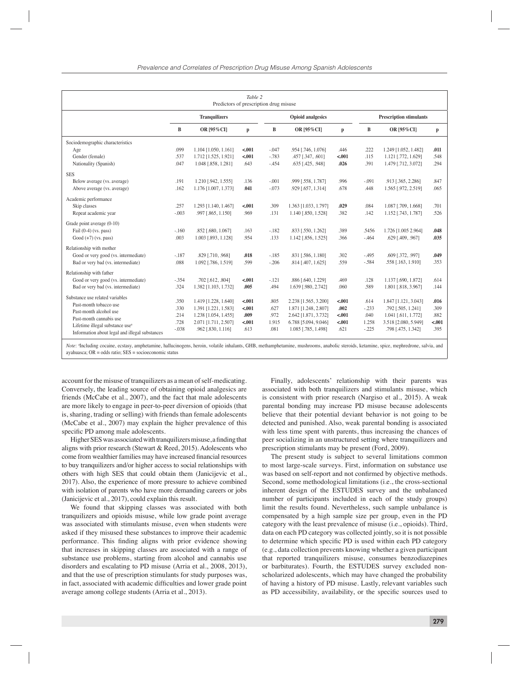| Table 2<br>Predictors of prescription drug misuse |                      |                                              |                 |                          |                                              |                 |                                |                                            |              |  |  |
|---------------------------------------------------|----------------------|----------------------------------------------|-----------------|--------------------------|----------------------------------------------|-----------------|--------------------------------|--------------------------------------------|--------------|--|--|
|                                                   | <b>Tranquilizers</b> |                                              |                 | <b>Opioid analgesics</b> |                                              |                 | <b>Prescription stimulants</b> |                                            |              |  |  |
|                                                   | B                    | OR [95%CI]                                   | p               | B                        | OR [95% CI]                                  | p               | B                              | OR [95%CI]                                 | p            |  |  |
| Sociodemographic characteristics                  |                      |                                              |                 |                          |                                              |                 |                                |                                            |              |  |  |
| Age                                               | .099                 | 1.104 [1.050, 1.161]                         | $-.001$         | $-.047$                  | .954 [.746, 1.076]                           | .446            | .222                           | 1.249 [1.052, 1.482]                       | .011         |  |  |
| Gender (female)                                   | .537                 | 1.712 [1.525, 1.921]                         | < .001          | $-.783$                  | .457 [.347, .601]                            | $-.001$         | .115                           | 1.121 [.772, 1.629]                        | .548         |  |  |
| Nationality (Spanish)                             | .047                 | 1.048 [.858, 1.281]                          | .643            | $-454$                   | .635 [.425, .948]                            | .026            | .391                           | 1.479 [.712, 3.072]                        | .294         |  |  |
| <b>SES</b>                                        |                      |                                              |                 |                          |                                              |                 |                                |                                            |              |  |  |
| Below average (vs. average)                       | .191                 | 1.210 [.942, 1.555]                          | .136            | $-.001$                  | .999 [.558, 1.787]                           | .996            | $-.091$                        | .913 [.365, 2.286]                         | .847         |  |  |
| Above average (vs. average)                       | .162                 | 1.176 [1.007, 1.373]                         | .041            | $-.073$                  | .929 [.657, 1.314]                           | .678            | .448                           | 1.565 [.972, 2.519]                        | .065         |  |  |
| Academic performance                              |                      |                                              |                 |                          |                                              |                 |                                |                                            |              |  |  |
| Skip classes                                      | .257                 | 1.293 [1.140, 1.467]                         | < .001          | .309                     | 1.363 [1.033, 1.797]                         | .029            | .084                           | 1.087 [.709, 1.668]                        | .701         |  |  |
| Repeat academic year                              | $-.003$              | .997 [.865, 1.150]                           | .969            | .131                     | 1.140 [.850, 1.528]                          | .382            | .142                           | 1.152 [.743, 1.787]                        | .526         |  |  |
| Grade point average (0-10)                        |                      |                                              |                 |                          |                                              |                 |                                |                                            |              |  |  |
| Fail $(0-4)$ (vs. pass)                           | $-.160$              | .852 [.680, 1.067]                           | .163            | $-.182$                  | .833 [.550, 1.262]                           | .389            | .5456                          | 1.726 [1.005 2.964]                        | .048         |  |  |
| Good $(+7)$ (vs. pass)                            | .003                 | 1.003 [.893, 1.128]                          | .954            | .133                     | 1.142 [.856, 1.525]                          | .366            | $-.464$                        | .629 [.409, .967]                          | .035         |  |  |
|                                                   |                      |                                              |                 |                          |                                              |                 |                                |                                            |              |  |  |
| Relationship with mother                          |                      |                                              |                 |                          |                                              |                 |                                |                                            |              |  |  |
| Good or very good (vs. intermediate)              | $-.187$              | .829 [.710, .968]                            | .018            | $-.185$                  | .831 [.586, 1.180]                           | .302            | $-.495$                        | .609 [.372, .997]                          | .049         |  |  |
| Bad or very bad (vs. intermediate)                | .088                 | 1.092 [.786, 1.519]                          | .599            | $-.206$                  | .814 [.407, 1.625]                           | .559            | $-584$                         | .558 [.163, 1.910]                         | .353         |  |  |
| Relationship with father                          |                      |                                              |                 |                          |                                              |                 |                                |                                            |              |  |  |
| Good or very good (vs. intermediate)              | $-354$               | .702 [.612, .804]                            | < .001          | $-.121$                  | .886 [.640, 1.229]                           | .469            | .128                           | 1.137 [.690, 1.872]                        | .614         |  |  |
| Bad or very bad (vs. intermediate)                | .324                 | 1.382 [1.103, 1.732]                         | .005            | .494                     | 1.639 [.980, 2.742]                          | .060            | .589                           | 1.801 [.818, 3.967]                        | .144         |  |  |
| Substance use related variables                   |                      |                                              |                 |                          |                                              |                 |                                |                                            |              |  |  |
| Past-month tobacco use                            | .350<br>.330         | 1.419 [1.228, 1.640]<br>1.391 [1.221, 1.583] | $-.001$         | .805                     | 2.238 [1.565, 3.200]<br>1.871 [1.248, 2.807] | $-.001$<br>.002 | .614<br>$-.233$                | 1.847 [1.121, 3.043]<br>.792 [.505, 1.241] | .016<br>.309 |  |  |
| Past-month alcohol use                            | .214                 | 1.238 [1.054, 1.455]                         | $-.001$<br>.009 | .627<br>.972             | 2.642 [1.871, 3.732]                         | $-.001$         | .040                           | 1.041 [.611, 1.772]                        | .882         |  |  |
| Past-month cannabis use                           | .728                 | 2.071 [1.711, 2.507]                         | $-.001$         | 1.915                    | 6.788 [5.094, 9.046]                         | $-.001$         | 1.258                          | 3.518 [2.080, 5.949]                       | $-.001$      |  |  |
| Lifetime illegal substance use <sup>a</sup>       | $-.038$              | .962 [.830, 1.116]                           | .613            | .081                     | 1.085 [.785, 1.498]                          | .621            | $-.225$                        | .798 [.475, 1.342]                         | .395         |  |  |
| Information about legal and illegal substances    |                      |                                              |                 |                          |                                              |                 |                                |                                            |              |  |  |
|                                                   |                      |                                              |                 |                          |                                              |                 |                                |                                            |              |  |  |

Note: <sup>a</sup>Including cocaine, ecstasy, amphetamine, hallucinogens, heroin, volatile inhalants, GHB, methamphetamine, mushrooms, anabolic steroids, ketamine, spice, mephredrone, salvia, and ayahuasca; OR = odds ratio; SES = socioeconomic status

account for the misuse of tranquilizers as a mean of self-medicating. Conversely, the leading source of obtaining opioid analgesics are friends (McCabe et al., 2007), and the fact that male adolescents are more likely to engage in peer-to-peer diversion of opioids (that is, sharing, trading or selling) with friends than female adolescents (McCabe et al., 2007) may explain the higher prevalence of this specific PD among male adolescents.

Higher SES was associated with tranquilizers misuse, a finding that aligns with prior research (Stewart & Reed, 2015). Adolescents who come from wealthier families may have increased financial resources to buy tranquilizers and/or higher access to social relationships with others with high SES that could obtain them (Janicijevic et al., 2017). Also, the experience of more pressure to achieve combined with isolation of parents who have more demanding careers or jobs (Janicijevic et al., 2017), could explain this result.

We found that skipping classes was associated with both tranquilizers and opioids misuse, while low grade point average was associated with stimulants misuse, even when students were asked if they misused these substances to improve their academic performance. This finding aligns with prior evidence showing that increases in skipping classes are associated with a range of substance use problems, starting from alcohol and cannabis use disorders and escalating to PD misuse (Arria et al., 2008, 2013), and that the use of prescription stimulants for study purposes was, in fact, associated with academic difficulties and lower grade point average among college students (Arria et al., 2013).

Finally, adolescents' relationship with their parents was associated with both tranquilizers and stimulants misuse, which is consistent with prior research (Nargiso et al., 2015). A weak parental bonding may increase PD misuse because adolescents believe that their potential deviant behavior is not going to be detected and punished. Also, weak parental bonding is associated with less time spent with parents, thus increasing the chances of peer socializing in an unstructured setting where tranquilizers and prescription stimulants may be present (Ford, 2009).

The present study is subject to several limitations common to most large-scale surveys. First, information on substance use was based on self-report and not confirmed by objective methods. Second, some methodological limitations (i.e., the cross-sectional inherent design of the ESTUDES survey and the unbalanced number of participants included in each of the study groups) limit the results found. Nevertheless, such sample unbalance is compensated by a high sample size per group, even in the PD category with the least prevalence of misuse (i.e., opioids). Third, data on each PD category was collected jointly, so it is not possible to determine which specific PD is used within each PD category (e.g., data collection prevents knowing whether a given participant that reported tranquilizers misuse, consumes benzodiazepines or barbiturates). Fourth, the ESTUDES survey excluded nonscholarized adolescents, which may have changed the probability of having a history of PD misuse. Lastly, relevant variables such as PD accessibility, availability, or the specific sources used to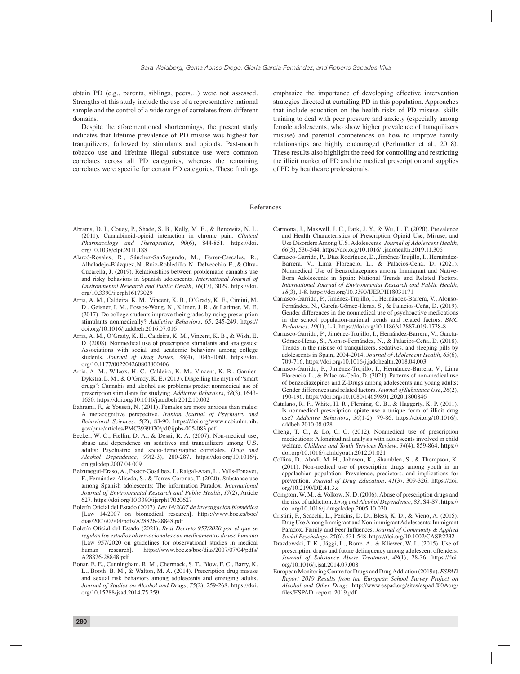obtain PD (e.g., parents, siblings, peers…) were not assessed. Strengths of this study include the use of a representative national sample and the control of a wide range of correlates from different domains.

Despite the aforementioned shortcomings, the present study indicates that lifetime prevalence of PD misuse was highest for tranquilizers, followed by stimulants and opioids. Past-month tobacco use and lifetime illegal substance use were common correlates across all PD categories, whereas the remaining correlates were specific for certain PD categories. These findings

emphasize the importance of developing effective intervention strategies directed at curtailing PD in this population. Approaches that include education on the health risks of PD misuse, skills training to deal with peer pressure and anxiety (especially among female adolescents, who show higher prevalence of tranquilizers misuse) and parental competences on how to improve family relationships are highly encouraged (Perlmutter et al., 2018). These results also highlight the need for controlling and restricting the illicit market of PD and the medical prescription and supplies of PD by healthcare professionals.

#### References

- Abrams, D. I., Couey, P., Shade, S. B., Kelly, M. E., & Benowitz, N. L. (2011). Cannabinoid-opioid interaction in chronic pain. *Clinical Pharmacology and Therapeutics*, *90*(6), 844-851. https://doi. org/10.1038/clpt.2011.188
- Alarcó-Rosales, R., Sánchez-SanSegundo, M., Ferrer-Cascales, R., Albaladejo-Blázquez, N., Ruiz-Robledillo, N., Delvecchio, E., & Oltra-Cucarella, J. (2019). Relationships between problematic cannabis use and risky behaviors in Spanish adolescents. *International Journal of Environmental Research and Public Health*, *16*(17), 3029. https://doi. org/10.3390/ijerph16173029
- Arria, A. M., Caldeira, K. M., Vincent, K. B., O'Grady, K. E., Cimini, M. D., Geisner, I. M., Fossos-Wong, N., Kilmer, J. R., & Larimer, M. E. (2017). Do college students improve their grades by using prescription stimulants nonmedically? *Addictive Behaviors*, *65*, 245-249. https:// doi.org/10.1016/j.addbeh.2016.07.016
- Arria, A. M., O'Grady, K. E., Caldeira, K. M., Vincent, K. B., & Wish, E. D. (2008). Nonmedical use of prescription stimulants and analgesics: Associations with social and academic behaviors among college students. *Journal of Drug Issues*, *38*(4), 1045-1060. https://doi. org/10.1177/002204260803800406
- Arria, A. M., Wilcox, H. C., Caldeira, K. M., Vincent, K. B., Garnier-Dykstra, L. M., & O'Grady, K. E. (2013). Dispelling the myth of "smart drugs": Cannabis and alcohol use problems predict nonmedical use of prescription stimulants for studying. *Addictive Behaviors*, *38*(3), 1643- 1650. https://doi.org/10.1016/j.addbeh.2012.10.002
- Bahrami, F., & Yousefi, N. (2011). Females are more anxious than males: A metacognitive perspective. *Iranian Journal of Psychiatry and Behavioral Sciences*, *5*(2), 83-90. https://doi.org/www.ncbi.nlm.nih. gov/pmc/articles/PMC3939970/pdf/ijpbs-005-083.pdf
- Becker, W. C., Fiellin, D. A., & Desai, R. A. (2007). Non-medical use, abuse and dependence on sedatives and tranquilizers among U.S. adults: Psychiatric and socio-demographic correlates. *Drug and Alcohol Dependence*, *90*(2-3), 280-287. https://doi.org/10.1016/j. drugalcdep.2007.04.009
- Belzunegui-Eraso, A., Pastor-Gosálbez, I., Raigal-Aran, L., Valls-Fonayet, F., Fernández-Aliseda, S., & Torres-Coronas, T. (2020). Substance use among Spanish adolescents: The information Paradox. *International Journal of Environmental Research and Public Health*, *17*(2), Article 627. https://doi.org/10.3390/ijerph17020627
- Boletín Oficial del Estado (2007). Ley 14/2007 de investigación biomédica [Law 14/2007 on biomedical research]. https://www.boe.es/boe/ dias/2007/07/04/pdfs/A28826-28848.pdf
- Boletín Oficial del Estado (2021). *Real Decreto 957/2020 por el que se regulan los estudios observacionales con medicamentos de uso humano*  [Law 957/2020 on guidelines for observational studies in medical human research]. https://www.boe.es/boe/dias/2007/07/04/pdfs/ A28826-28848.pdf
- Bonar, E. E., Cunningham, R. M., Chermack, S. T., Blow, F. C., Barry, K. L., Booth, B. M., & Walton, M. A. (2014). Prescription drug misuse and sexual risk behaviors among adolescents and emerging adults. *Journal of Studies on Alcohol and Drugs*, *75*(2), 259-268. https://doi. org/10.15288/jsad.2014.75.259
- Carmona, J., Maxwell, J. C., Park, J. Y., & Wu, L. T. (2020). Prevalence and Health Characteristics of Prescription Opioid Use, Misuse, and Use Disorders Among U.S. Adolescents. *Journal of Adolescent Health*, *66*(5), 536-544. https://doi.org/10.1016/j.jadohealth.2019.11.306
- Carrasco-Garrido, P., Díaz Rodríguez, D., Jiménez-Trujillo, I., Hernández-Barrera, V., Lima Florencio, L., & Palacios-Ceña, D. (2021). Nonmedical Use of Benzodiazepines among Immigrant and Native-Born Adolescents in Spain: National Trends and Related Factors. *International Journal of Environmental Research and Public Health*, *18*(3), 1-8. https://doi.org/10.3390/IJERPH18031171
- Carrasco-Garrido, P., Jiménez-Trujillo, I., Hernández-Barrera, V., Alonso-Fernández, N., García-Gómez-Heras, S., & Palacios-Ceña, D. (2019). Gender differences in the nonmedical use of psychoactive medications in the school population-national trends and related factors. *BMC Pediatrics*, *19*(1), 1-9. https://doi.org/10.1186/s12887-019-1728-8
- Carrasco-Garrido, P., Jiménez-Trujillo, I., Hernández-Barrera, V., García-Gómez-Heras, S., Alonso-Fernández, N., & Palacios-Ceña, D. (2018). Trends in the misuse of tranquilizers, sedatives, and sleeping pills by adolescents in Spain, 2004-2014. *Journal of Adolescent Health*, *63*(6), 709-716. https://doi.org/10.1016/j.jadohealth.2018.04.003
- Carrasco-Garrido, P., Jiménez-Trujillo, I., Hernández-Barrera, V., Lima Florencio, L., & Palacios-Ceña, D. (2021). Patterns of non-medical use of benzodiazepines and Z-Drugs among adolescents and young adults: Gender differences and related factors. *Journal of Substance Use*, *26*(2), 190-196. https://doi.org/10.1080/14659891.2020.1800846
- Catalano, R. F., White, H. R., Fleming, C. B., & Haggerty, K. P. (2011). Is nonmedical prescription opiate use a unique form of illicit drug use? *Addictive Behaviors*, *36*(1-2), 79-86. https://doi.org/10.1016/j. addbeh.2010.08.028
- Cheng, T. C., & Lo, C. C. (2012). Nonmedical use of prescription medications: A longitudinal analysis with adolescents involved in child welfare. *Children and Youth Services Review*, *34*(4), 859-864. https:// doi.org/10.1016/j.childyouth.2012.01.021
- Collins, D., Abadi, M. H., Johnson, K., Shamblen, S., & Thompson, K. (2011). Non-medical use of prescription drugs among youth in an appalachian population: Prevalence, predictors, and implications for prevention. *Journal of Drug Education*, *41*(3), 309-326. https://doi. org/10.2190/DE.41.3.e
- Compton, W. M., & Volkow, N. D. (2006). Abuse of prescription drugs and the risk of addiction. *Drug and Alcohol Dependence*, *83*, S4-S7. https:// doi.org/10.1016/j.drugalcdep.2005.10.020
- Cristini, F., Scacchi, L., Perkins, D. D., Bless, K. D., & Vieno, A. (2015). Drug Use Among Immigrant and Non-immigrant Adolescents: Immigrant Paradox, Family and Peer Influences. *Journal of Community & Applied Social Psychology*, *25*(6), 531-548. https://doi.org/10.1002/CASP.2232
- Drazdowski, T. K., Jäggi, L., Borre, A., & Kliewer, W. L. (2015). Use of prescription drugs and future delinquency among adolescent offenders. *Journal of Substance Abuse Treatment*, *48*(1), 28-36. https://doi. org/10.1016/j.jsat.2014.07.008
- European Monitoring Centre for Drugs and Drug Addiction (2019a). *ESPAD Report 2019 Results from the European School Survey Project on Alcohol and Other Drugs*. http://www.espad.org/sites/espad.%0Aorg/ fi les/ESPAD\_report\_2019.pdf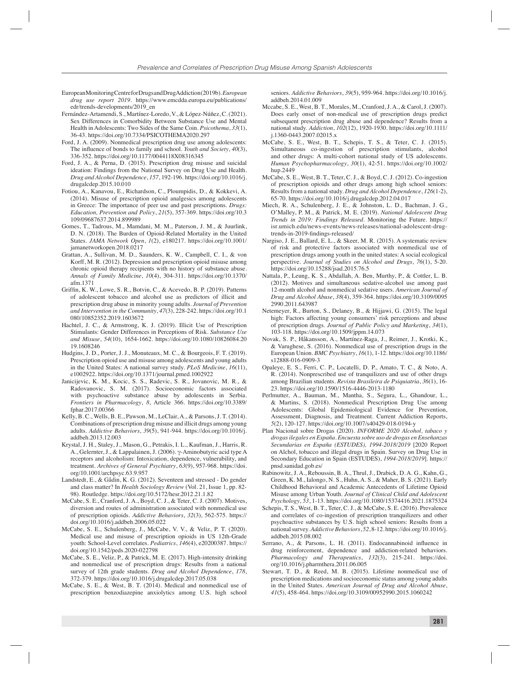- European Monitoring Centre for Drugs and Drug Addiction (2019b). *European drug use report 2019*. https://www.emcdda.europa.eu/publications/ edr/trends-developments/2019\_en
- Fernández-Artamendi, S., Martínez-Loredo, V., & López-Núñez, C. (2021). Sex Differences in Comorbidity Between Substance Use and Mental Health in Adolescents: Two Sides of the Same Coin. *Psicothema*, *33*(1), 36-43. https://doi.org/10.7334/PSICOTHEMA2020.297
- Ford, J. A. (2009). Nonmedical prescription drug use among adolescents: The influence of bonds to family and school. *Youth and Society*,  $40(3)$ , 336-352. https://doi.org/10.1177/0044118X08316345
- Ford, J. A., & Perna, D. (2015). Prescription drug misuse and suicidal ideation: Findings from the National Survey on Drug Use and Health. *Drug and Alcohol Dependence*, *157*, 192-196. https://doi.org/10.1016/j. drugalcdep.2015.10.010
- Fotiou, A., Kanavou, E., Richardson, C., Ploumpidis, D., & Kokkevi, A. (2014). Misuse of prescription opioid analgesics among adolescents in Greece: The importance of peer use and past prescriptions. *Drugs: Education, Prevention and Policy*, *21*(5), 357-369. https://doi.org/10.3 109/09687637.2014.899989
- Gomes, T., Tadrous, M., Mamdani, M. M., Paterson, J. M., & Juurlink, D. N. (2018). The Burden of Opioid-Related Mortality in the United States. *JAMA Network Open*, *1*(2), e180217. https://doi.org/10.1001/ jamanetworkopen.2018.0217
- Grattan, A., Sullivan, M. D., Saunders, K. W., Campbell, C. I., & von Korff, M. R. (2012). Depression and prescription opioid misuse among chronic opioid therapy recipients with no history of substance abuse. *Annals of Family Medicine*, *10*(4), 304-311. https://doi.org/10.1370/ afm.1371
- Griffin, K. W., Lowe, S. R., Botvin, C., & Acevedo, B. P. (2019). Patterns of adolescent tobacco and alcohol use as predictors of illicit and prescription drug abuse in minority young adults. *Journal of Prevention and Intervention in the Community*, *47*(3), 228-242. https://doi.org/10.1 080/10852352.2019.1603672
- Hachtel, J. C., & Armstrong, K. J. (2019). Illicit Use of Prescription Stimulants: Gender Differences in Perceptions of Risk. *Substance Use and Misuse*, *54*(10), 1654-1662. https://doi.org/10.1080/10826084.20 19.1608246
- Hudgins, J. D., Porter, J. J., Monuteaux, M. C., & Bourgeois, F. T. (2019). Prescription opioid use and misuse among adolescents and young adults in the United States: A national survey study. *PLoS Medicine*, *16*(11), e1002922. https://doi.org/10.1371/journal.pmed.1002922
- Janicijevic, K. M., Kocic, S. S., Radevic, S. R., Jovanovic, M. R., & Radovanovic, S. M. (2017). Socioeconomic factors associated with psychoactive substance abuse by adolescents in Serbia. *Frontiers in Pharmacology*, *8*, Article 366. https://doi.org/10.3389/ fphar.2017.00366
- Kelly, B. C., Wells, B. E., Pawson, M., LeClair, A., & Parsons, J. T. (2014). Combinations of prescription drug misuse and illicit drugs among young adults. *Addictive Behaviors*, *39*(5), 941-944. https://doi.org/10.1016/j. addbeh.2013.12.003
- Krystal, J. H., Staley, J., Mason, G., Petrakis, I. L., Kaufman, J., Harris, R. A., Gelernter, J., & Lappalainen, J. (2006). γ-Aminobutyric acid type A receptors and alcoholism: Intoxication, dependence, vulnerability, and treatment. *Archives of General Psychiatry*, *63*(9), 957-968. https://doi. org/10.1001/archpsyc.63.9.957
- Landstedt, E., & Gådin, K. G. (2012). Seventeen and stressed Do gender and class matter? In *Health Sociology Review* (Vol. 21, Issue 1, pp. 82- 98). Routledge. https://doi.org/10.5172/hesr.2012.21.1.82
- McCabe, S. E., Cranford, J. A., Boyd, C. J., & Teter, C. J. (2007). Motives, diversion and routes of administration associated with nonmedical use of prescription opioids. *Addictive Behaviors*, *32*(3), 562-575. https:// doi.org/10.1016/j.addbeh.2006.05.022
- McCabe, S. E., Schulenberg, J., McCabe, V. V., & Veliz, P. T. (2020). Medical use and misuse of prescription opioids in US 12th-Grade youth: School-Level correlates. *Pediatrics*, *146*(4), e20200387. https:// doi.org/10.1542/peds.2020-022798
- McCabe, S. E., Veliz, P., & Patrick, M. E. (2017). High-intensity drinking and nonmedical use of prescription drugs: Results from a national survey of 12th grade students. *Drug and Alcohol Dependence*, *178*, 372-379. https://doi.org/10.1016/j.drugalcdep.2017.05.038
- McCabe, S. E., & West, B. T. (2014). Medical and nonmedical use of prescription benzodiazepine anxiolytics among U.S. high school

seniors. *Addictive Behaviors*, *39*(5), 959-964. https://doi.org/10.1016/j. addbeh.2014.01.009

- Mccabe, S. E., West, B. T., Morales, M., Cranford, J. A., & Carol, J. (2007). Does early onset of non-medical use of prescription drugs predict subsequent prescription drug abuse and dependence? Results from a national study. *Addiction*, *102*(12), 1920-1930. https://doi.org/10.1111/ j.1360-0443.2007.02015.x
- McCabe, S. E., West, B. T., Schepis, T. S., & Teter, C. J. (2015). Simultaneous co-ingestion of prescription stimulants, alcohol and other drugs: A multi-cohort national study of US adolescents. *Human Psychopharmacology*, *30*(1), 42-51. https://doi.org/10.1002/ hup.2449
- McCabe, S. E., West, B. T., Teter, C. J., & Boyd, C. J. (2012). Co-ingestion of prescription opioids and other drugs among high school seniors: Results from a national study. *Drug and Alcohol Dependence*, *126*(1-2), 65-70. https://doi.org/10.1016/j.drugalcdep.2012.04.017
- Miech, R. A., Schulenberg, J. E., & Johnston, L. D., Bachman, J. G., O'Malley, P. M., & Patrick, M. E. (2019). *National Adolescent Drug Trends in 2019: Findings Released*. Monitoring the Future. https:// isr.umich.edu/news-events/news-releases/national-adolescent-drugtrends-in-2019-findings-released/
- Nargiso, J. E., Ballard, E. L., & Skeer, M. R. (2015). A systematic review of risk and protective factors associated with nonmedical use of prescription drugs among youth in the united states: A social ecological perspective. *Journal of Studies on Alcohol and Drugs*, *76*(1), 5-20. https://doi.org/10.15288/jsad.2015.76.5
- Nattala, P., Leung, K. S., Abdallah, A. Ben, Murthy, P., & Cottler, L. B. (2012). Motives and simultaneous sedative-alcohol use among past 12-month alcohol and nonmedical sedative users. *American Journal of Drug and Alcohol Abuse*, *38*(4), 359-364. https://doi.org/10.3109/0095 2990.2011.643987
- Netemeyer, R., Burton, S., Delaney, B., & Hijjawi, G. (2015). The legal high: Factors affecting young consumers' risk perceptions and abuse of prescription drugs. *Journal of Public Policy and Marketing*, *34*(1), 103-118. https://doi.org/10.1509/jppm.14.073
- Novak, S. P., Håkansson, A., Martínez-Raga, J., Reimer, J., Krotki, K., & Varughese, S. (2016). Nonmedical use of prescription drugs in the European Union. *BMC Psychiatry*, *16*(1), 1-12. https://doi.org/10.1186/ s12888-016-0909-3
- Opaleye, E. S., Ferri, C. P., Locatelli, D. P., Amato, T. C., & Noto, A. R. (2014). Nonprescribed use of tranquilizers and use of other drugs among Brazilian students. *Revista Brasileira de Psiquiatria*, *36*(1), 16- 23. https://doi.org/10.1590/1516-4446-2013-1180
- Perlmutter, A., Bauman, M., Mantha, S., Segura, L., Ghandour, L., & Martins, S. (2018). Nonmedical Prescription Drug Use among Adolescents: Global Epidemiological Evidence for Prevention, Assessment, Diagnosis, and Treatment. Current Addiction Reports, *5*(2), 120-127. https://doi.org/10.1007/s40429-018-0194-y
- Plan Nacional sobre Drogas (2020). *INFORME 2020 Alcohol, tabaco y drogas ilegales en España. Encuesta sobre uso de drogas en Enseñanzas Secundarias en España (ESTUDES), 1994-2018/2019* [2020 Report on Alchol, tobacco and illegal drugs in Spain. Survey on Drug Use in Secondary Education in Spain (ESTUDES), *1994-2018/2019*]. https:// pnsd.sanidad.gob.es/
- Rabinowitz, J. A., Reboussin, B. A., Thrul, J., Drabick, D. A. G., Kahn, G., Green, K. M., Ialongo, N. S., Huhn, A. S., & Maher, B. S. (2021). Early Childhood Behavioral and Academic Antecedents of Lifetime Opioid Misuse among Urban Youth. *Journal of Clinical Child and Adolescent Psychology*, *53*, 1-13. https://doi.org/10.1080/15374416.2021.1875324
- Schepis, T. S., West, B. T., Teter, C. J., & McCabe, S. E. (2016). Prevalence and correlates of co-ingestion of prescription tranquilizers and other psychoactive substances by U.S. high school seniors: Results from a national survey. *Addictive Behaviors*, *52*, 8-12. https://doi.org/10.1016/j. addbeh.2015.08.002
- Serrano, A., & Parsons, L. H. (2011). Endocannabinoid influence in drug reinforcement, dependence and addiction-related behaviors. *Pharmacology and Therapeutics*, *132*(3), 215-241. https://doi. org/10.1016/j.pharmthera.2011.06.005
- Stewart, T. D., & Reed, M. B. (2015). Lifetime nonmedical use of prescription medications and socioeconomic status among young adults in the United States. *American Journal of Drug and Alcohol Abuse*, *41*(5), 458-464. https://doi.org/10.3109/00952990.2015.1060242